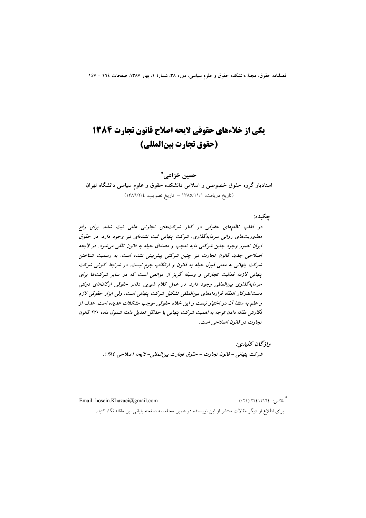# یکی از خلاءهای حقوقی لایحه اصلاح قانون تجارت ۱۳۸۴ (حقوق تجارت بين المللي)

حسين خزاعي\* استادیار گروه حقوق خصوصی و اسلامی دانشکده حقوق و علوم سیاسی دانشگاه تهران (تاريخ دريافت: ١٣٨٥/١١/١ - تاريخ تصويب: ١٣٨٦/٢/٤)

چکیده:

در اغلب نظامهای حقوقی در کنار شرکتهای تجارتی علنی ثبت شده، برای رفع معذوریتهای روانی سرمایهگذاری، شرکت پنهانی ثبت نشدهای نیز وجود دارد. در حقوق ايران تصور وجود چنين شركتي مايه تعجب و مصداق حيله به قانون تلقى مى شود. در لا يحه اصلاحی جدید قانون تجارت نیز چنین شرکتی پیش بینی نشده است. به رسمیت شناختن شرکت پنهانی به معنی قبول حیله به قانون و ارتکاب جرم نیست. در شرایط کنونی شرکت پنهانی لازمه فعالیت تجارتی و وسیله گریز از موانعی است که در سایر شرکتها برای سرمایهگذاری بین المللی وجود دارد. در عمل کلام شیرین دفاتر حقوقی ارگانهای دولتی دست اندرکار انعقاد قراردادهای بین المللی تشکیل شرکت پنهانی است، ولی ابزار حقوقی لازم و علم به منشا آن در اختیار نیست و این خلاء حقوقی موجب مشکلات عدیده است. هدف از نگارش مقاله دادن توجه به اهمیت شرکت پنهانی یا حداقل تعدیل دامنه شمول ماده ۲۲۰ قانون تجارت در قانون اصلاحی است.

> واژگان كليدي: شركت ينهاني - قانون تجارت - حقوق تجارت بين المللي- لا يحه اصلاحي ١٣٨٤.

Email: hosein.Khazaei@gmail.com

\* فاکس: ١٢١٤١٢١٦٤ (٢١٠)

برای اطلاع از دیگر مقالات منتشر از این نویسنده در همین مجله، به صفحه پایانی این مقاله نگاه کنید.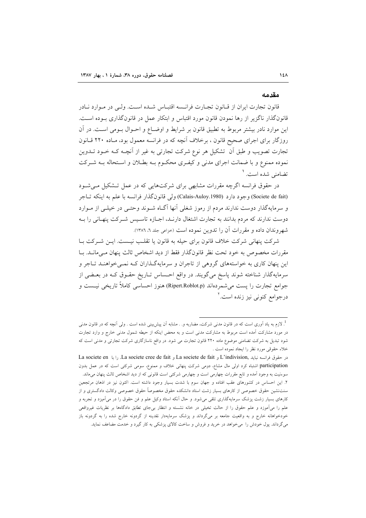#### مقدمه

قانون تجارت ایران از قـانون تجـارت فرانـسه اقتبـاس شـده اسـت. ولـي در مـوارد نـادر قانونگذار ناگزیر از رها نمودن قانون مورد اقتباس و ابتکار عمل در قانونگذاری بـوده اسـت. این موارد نادر بیشتر مربوط به تطبیق قانون بر شرایط و اوضـاع و احــوال بــومی اســت. در آن روزگار برای اجرای صحیح قانون ، برخلاف آنچه که در فرانسه معمول بود، مـاده ۲۲۰ قـانون تجارت تصویب و طبق اَن تشکیل هر نوع شرکت تجارتی به غیر از اَنچـه کـه خـود تــدوین نموده ممنوع و با ضمانت اجرای مدنی و کیفری محکـوم بـه بطـلان و اسـتحاله بـه شـرکت تضامنی شده است. ۱

در حقوق فرانسه اگرچه مقررات مشابهی برای شرکتهایی که در عمل تـشکیل مـی شـود (Societe de fait) وجود دارد (Calais-Auloy.1980) ولي قانون گذار فرانسه با علم به اينكه تـاجر و سرمایهگذار دوست ندارند مردم از رموز شغلی آنها آگIه شـوند وحتـی در خیلـی از مـوارد دوست ندارند که مردم بدانند به تجارت اشتغال دارنـد، اجـازه تاسـيس شـرکت پنهـاني را بـه شهروندان داده و مقررات آن را تدوین نموده است (خزاعی جلد ٦، ١٣٨٦).

شركت ينهاني شركت خلاف قانون براي حيله به قانون يا تقلب نيست. ايــن شــركت بــا مقررات مخصوص به خود تحت نظر قانونگذار فقط از دید اشخاص ثالث پنهان مے مانـد. بــا این پنهان کاری به خواستههای گروهی از تاجران و سرمایهگذاران کـه نمـیخواهنـد تـاجر و سرمايهگذار شناخته شوند پاسخ مي گويند. در واقع احساس تـاريخ حقـوق كـه در بعـضي از جوامع تجارت را پست می شمردهاند (Ripert.Roblot.p) هنوز احساسی کاملاً تاریخی نیست و درجوامع کنونی نیز زنده است.<sup>۱</sup>

<sup>&</sup>lt;sup>1</sup>. لازم به یاد اَوری است که در قانون مدنی شرکت، مضاربه و… مشابه اَن پیش،بینی شده است . ولی اَنچه که در قانون مدنی در مورد مشارکت آمده است مربوط به مشارکت مدنی است و به محض اینکه از حیطه شمول مدنی خارج و وارد تجارت شود تبدیل به شرکت تضامنی موضوع ماده ۲۲۰ قانون تجارت می شود. در واقع ناسازگاری شرکت تجارتی و مدنی است که خلاء حقوقي مورد نظر را ايجاد نموده است .

در حقوق فرانسه نبايد L'indivision, و La societe de fait و La societe cree de fait. را با La societe en participation اشتباه کرد اولی مال مشاع، دومی شرکت پنهانی خلاف و ممنوع، سومی شرکتی است که در عمل بدون سوءنيت به وجود اَمده و تابع مقررات چهارمي است و چهارمي شركتي است قانوني كه از ديد اشخاص ثالث ينهان مي ماند. ۲. این احساس در کشورهای عقب افتاده و جهان سوم با شدت بسیار وجود داشته است. اکنون نیز در اذهان مرتجعین سنتنشین حقوق خصوصی از کارهای بسیار زشت استاد دانشکده حقوق مخصوصاً حقوق خصوصی وکالت دادگستری و از کارهای بسیار زشت پزشک سرمایهگذاری تلقی میشود. و حال آنکه استاد وکیل علم و فن حقوق را در میآمیزد و تجربه و علم را میآموزد و علم حقوق را از حالت تخیلی در خانه نشسته و انتظار بی جای تطابق دادگاهها بر نظریات غیرواقعی خودخواهانه خارج و به واقعیت جامعه بر میگرداند و پزشک سرمایهدار نقدینه از گردونه خارج شده را به گردونه باز می گرداند. پول خودش را میخواهد در خرید و فروش و ساخت کالای پزشکی به کار گیرد و خدمت مضاعف نماید.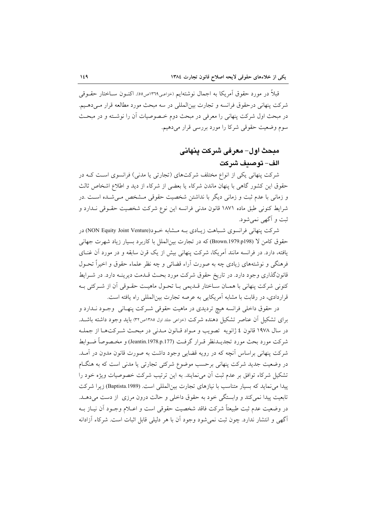قبلاً در مورد حقوق اَمريكا به اجمال نوشتهايم (خزاعـي١٣٦٩ص٥٥). اكنــون ســاختار حقــوقـي شركت ينهاني درحقوق فرانسه و تجارت بين|لمللي در سه مبحث مورد مطالعه قرار مـي دهـيم. در مبحث اول شرکت پنهانی را معرفی در مبحث دوم خـصوصیات آن را نوشـته و در مبحـث سوم وضعیت حقوقی شرکا را مورد بررسی قرار میدهیم.

## مبحث اول– معرفی شرکت ینهانی الف– توصيف شركت

شرکت پنهانی یکی از انواع مختلف شرکتهای (تجارتی یا مدنی) فرانسوی است کـه در حقوق این کشور گاهی با پنهان ماندن شرکاء یا بعضی از شرکاء از دید و اطلاع اشخاص ثالث و زمانی با عدم ثبت و زمانی دیگر با نداشتن شخصیت حقوقی مـشخص مـیشـده اسـت .در شرايط كنوني طبق ماده ١٨٧١ قانون مدني فرانسه اين نوع شركت شخصيت حقــوقي نــدارد و ثبت و آگهر نمر شود.

شرکت پنهانی فرانسوی شـباهت زیـادی بــه مــشابه خــود(NON Equity Joint Venture) در حقوق كامن لا (Brown.1979.p198) كه در تجارت بين الملل با كاربرد بسيار زياد شهرت جهاني یافته، دارد. در فرانسه مانند آمریکا، شرکت پنهانی بیش از یک قرن سابقه و در مورد آن غنــای فرهنگی و نوشتههای زیادی چه به صورت آراء قضائی و چه نظر علماء حقوق و اخیراً تحـول قانونگذاری وجود دارد. در تاریخ حقوق شرکت مورد بحث قـدمت دیرینـه دارد. در شـرایط كنوني شركت ينهاني با همـان سـاختار قــديمي بـا تحـول ماهيـت حقـوقي آن از شـركتي بـه قراردادی، در رقابت با مشابه آمریکایی به عرصه تجارت بینالمللی راه یافته است.

در حقوق داخلي فرانسه هيچ ترديدي در ماهيت حقوقي شـركت پنهـاني وجـود نــدارد و برای تشکیل آن عناصر تشکیل دهنده شرکت (حزاعی جلد اول ۱۳۸۰ص۳۲) باید وجود داشته باشـد. در سال ۱۹۷۸ قانون ٤ ژانويه تصويب و مـواد قـانون مـدنى در مبحـث شـركتهـا از جملـه شركت مورد بحث مورد تجديــدنظر قــرار گرفــت (Jeantin.1978.p.177) و مخـصوصاً ضــوابط شرکت پنهانی براساس آنچه که در رویه قضایی وجود داشت به صورت قانون مدون در آمـد. در وضعیت جدید شرکت پنهانی برحسب موضوع شرکتی تجارتی یا مدنی است که به هنگـام تشکیل شرکاء توافق بر عدم ثبت اَن می نمایند. به این ترتیب شرکت خصوصیات ویژه خود را ییدا می نماید که بسیار متناسب با نیازهای تجارت بین المللی است. (Baptista.1989) زیرا شرکت تابعیت پیدا نمی کند و وابستگی خود به حقوق داخلی و حالت درون مرزی از دست می دهـد. در وضعيت عدم ثبت طبيعتاً شركت فاقد شخصيت حقوقي است و اعــلام وجــود آن نيــاز بــه اًگهی و انتشار ندارد. چون ثبت نمی شود وجود آن با هر دلیلی قابل اثبات است. شرکاء آزادانه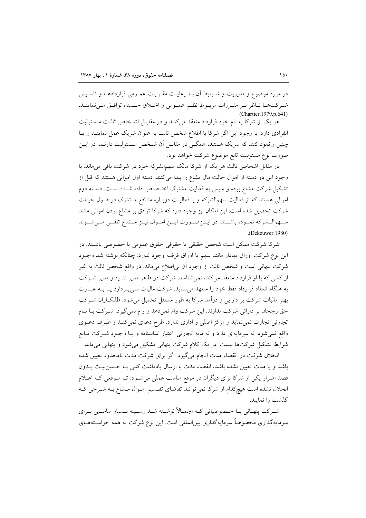در مورد موضوع و مديريت و شـرايط آن بـا رعايـت مقـررات عمـومي قراردادهـا و تاسـيس شيركتهيا نباظر بير مقيررات مربيوط نظيم عميومي و اخبلاق حسنه، توافيق مي نماينيد. (Chartier.1979.p.641)

هر یک از شرکا به نام خود قرارداد منعقد میکند و در مقابـل اشـخاص ثالـث مـسئولیت انفرادی دارد. با وجود این اگر شرکا با اطلاع شخص ثالث به عنوان شریک عمل نماینـد و یـا چنین وانمود کنند که شریک هستند، همگـی در مقابـل آن شـخص مـسئولیت دارنـد. در ایـن صورت نوع مسئوليت تابع موضوع شركت خواهد بود.

در مقابل اشخاص ثالث هر یک از شرکا مالک سهمالشرکه خود در شرکت باقی می ماند. با وجود این دو دسته از اموال حالت مال مشاع را پیدا میکنند. دسته اول اموالی هستند که قبل از تشکیل شرکت مشاع بوده و سپس به فعالیت مشترک اختـصاص داده شـده اسـت. دسـته دوم اموالی هستند که از فعالیت سهمالشرکه و یا فعالیت دوبـاره منـافع مـشترک در طـول حیـات شرکت تحصیل شده است. این امکان نیز وجود دارد که شرکا توافق بر مشاع بودن اموالی مانند سهمالـشركه نمـوده باشـند. در ايــنصـورت ايــن امــوال نيــز مــشاع تلقــى مــىشــوند  $(Dekeuwer.1980)$ 

شركا شركت ممكن است شخص حقيقى يا حقوقى حقوق عمومى يا خصوصى باشـند. در اين نوع شركت اوراق بهادار مانند سهم يا اوراق قرضه وجود ندارد. چنانكه نوشته شد وجـود شرکت پنهانی است و شخص ثالث از وجود آن بی|طلاع میماند. در واقع شخص ثالث به غیر از کسی که با او قرارداد منعقد میکند، نمیشناسد. شرکت در ظاهر مدیر ندارد و مدیر شـرکت به هنگام انعقاد قرارداد فقط خود را متعهد می نماید. شرکت مالیات نمی پـردازد یـا بــه عبــارت بهتر مالیات شرکت بر دارایی و درآمد شرکا به طور مستقل تحمیل می شود. طلبکـاران شـرکت حق رجحان بر دارائي شركت ندارند. اين شركت وام نمي دهد و وام نمي گيرد. شـركت بـا نــام تجارتي تجارت نمي نمايد و مركز اصلي و اداري ندارد. طرح دعوي نمي كنـد و طـرف دعـوي واقع نمی شود. نه سرمایهای دارد و نه مایه تجارتی. اعتبار اساسنامه و یـا وجـود شـرکت تـابع شرایط تشکیل شرکتها نیست. در یک کلام شرکت پنهانی تشکیل می شود و پنهانی می ماند.

انحلال شرکت در انقضاء مدت انجام میگیرد. اگر برای شرکت مدت نامحدود تعیین شده باشد و یا مدت تعیین نشده باشد، انقضاء مدت با ارسال یادداشت کتبی بــا حــسن:پــت بــدون قصد اضرار یکی از شرکا برای دیگران در موقع مناسب عملی میشود. تـا مـوقعی کـه اعـلام انحلال نشده است هیچکدام از شرکا نمی توانند تقاضای تقسیم اموال مشاع بـه شـرحی کـه گذشت را نمایند.

شہرکت پنھانی بــا خــصوصیاتی کــه اجمــالاً نوشــته شــد وســیله بــسیار مناســبی بــرای سرمایهگذاری مخصوصاً سرمایهگذاری بین|لمللی است. این نوع شرکت به همه خواسـتههـای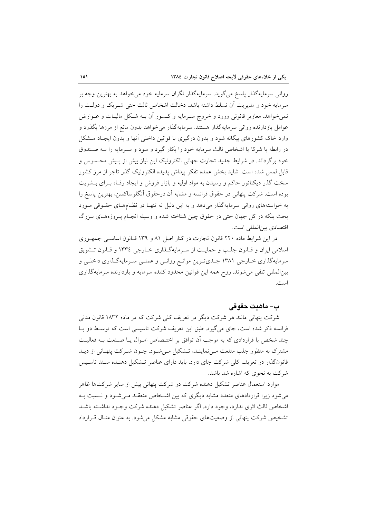رواني سرمايهگذار پاسخ مي گويد. سرمايهگذار نگران سرمايه خود مي خواهد به بهترين وجه بر سرمايه خود و مديريت آن تسلط داشته باشد. دخالت اشخاص ثالث حتى شبريك و دولت را نمی خواهد. معازیر قانونی ورود و خروج سـرمایه و کـسور آن بــه شـکل مالیــات و عــوارض عوامل بازدارنده روانی سرمایهگذار هستند. سرمایهگذار میخواهد بدون مانع از مرزها بگذرد و وارد خاک کشورهای بیگانه شود و بدون درگیری با قوانین داخلی آنها و بدون ایجـاد مــشکل در رابطه با شركا يا اشخاص ثالث سرمايه خود را بكار گيرد و سود و سـرمايه را بــه صـندوق خود برگرداند. در شرایط جدید تجارت جهانی الکترونیک این نیاز بیش از پـیش محـسوس و قابل لمس شده است. شاید بخش عمده تفکر پیداش پدیده الکترونیک گذر تاجر از مرز کشور سخت گذر دیکتاتور حاکم و رسیدن به مواد اولیه و بازار فروش و ایجاد رف)ه بـرای بــشریت بوده است. شركت پنهانی در حقوق فرانسه و مشابه آن درحقوق آنگلوساكسن، بهترین پاسخ را به خواستههای روانی سرمایهگذار میدهد و به این دلیل نه تنهـا در نظـامهـای حقـوقی مـورد بحث بلکه در کل جهان حتی در حقوق چین شناخته شده و وسیله انجـام پـروژههـای بـزرگ اقتصادي بين المللي است.

در این شرایط ماده ۲۲۰ قانون تجارت در کنار اصل ۸۱ و ۱۳۹ قـانون اساسـی جمهـوری اسلامی ایران و قبانون جلب و حمایت از سرمایهگذاری خبارجی ١٣٣٤ و قبانون تشویق سرمایهگذاری خـارجی ۱۳۸۱ جـدیترین موانـع روانـی و عملـی سـرمایهگـذاری داخلـی و بینالمللی تلقی می شوند. روح همه این قوانین محدود کننده سرمایه و بازدارنده سرمایهگذاری است.

## ب– ماهنت حقوقي

شرکت پنهانی مانند هر شرکت دیگر در تعریف کلی شرکت که در ماده ۱۸۳۲ قانون مدنی فرانسه ذکر شده است، جای می گیرد. طبق این تعریف شرکت تاسیسی است که توسط دو پا چند شخص با قراردادی که به موجب آن توافق بر اختـصاص امـوال یـا صـنعت بـه فعالیـت مشترک به منظور جلب منفعت مـیiماینـد، تـشکیل مـیشـود. چـون شـرکت پنهـانی از دیـد قانونگذار در تعریف کلی شرکت جای دارد، باید دارای عناصر تـشکیل دهنـده سـند تاسـیس شرکت به نحوی که اشاره شد باشد.

موارد استعمال عناصر تشکیل دهنده شرکت در شرکت پنهانی بیش از سایر شرکتها ظاهر می شود زیرا قراردادهای متعدد مشابه دیگری که بین اشـخاص منعقـد مـی شـود و نـسبت بـه اشخاص ثالث اثرى ندارد، وجود دارد. اگر عناصر تشكيل دهنده شركت وجـود نداشـته باشـد تشخیص شرکت پنهانی از وضعیتهای حقوقی مشابه مشکل می شود. به عنوان مثـال قـرارداد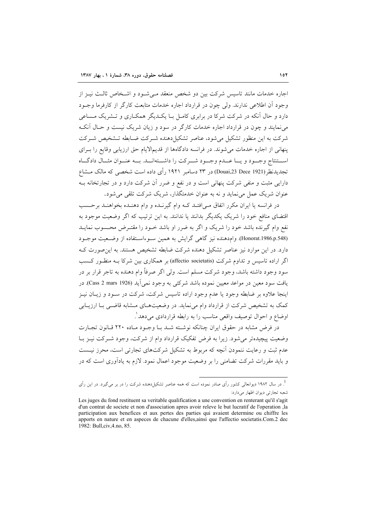اجاره خدمات مانند تاسيس شركت بين دو شخص منعقد مے شـود و اشـخاص ثالـث نيـز از وجود أن اطلاعه ٍ ندارند. ولي جون در قرارداد اجاره خدمات متابعت کار گر از کارفرما وجبود دارد و حال آنکه در شرکت شرکا در برابری کامـل بـا یکـدیگر همکـاری و تــشریک مــساعی می نمایند و چون در قرارداد اجاره خدمات کارگر در سود و زیان شریک نیست و حـال آنکـه شرکت به این منظور تشکیل می شود، عناصر تشکیل دهنده شـرکت ضـابطه تــشخیص شـرکت ینهانی از اجاره خدمات می شوند. در فرانسه دادگاهها از قدیمالایام حق ارزیابی وقایع را بـرای استنتاج وجبود ويسا عبدم وجبود شبركت را داشتهانيد. به عنوان مثبال دادگياه تجدیدنظر (Douai,23 Dece 1921) در ۲۳ دسامبر ۱۹۲۱ رأی داده است شخصی که مالک مــشاع دارایی مثبت و منفی شرکت پنهانی است و در نفع و ضرر آن شرکت دارد و در تجارتخانه بـه عنوان شریک عمل می نماید و نه به عنوان خدمتگذار، شریک شرکت تلقی می شود.

در فرانسه یا ایران مکرر اتفاق مے افتـد کـه وام گیرنـده و وام دهنـده بخواهنـد برحـسب اقتضای منافع خود را شریک یکدیگر بدانند یا ندانند. به این ترتیب که اگر وضعیت موجود به نفع وام گیرنده باشد خود را شریک و اگر به ضرر او باشد خـود را مقتـرض محـسوب نمایـد (Honorat.1986.p.548). وام‹هنده نیز گاهی گرایش به همین سـوءاسـتفاده از وضـعیت موجـود دارد. در این موارد نیز عناصر تشکیل دهنده شرکت ضابطه تشخیص هستند. به این صورت ک اگر اراده تاسیس و تداوم شرکت (affectio societatis) بر همکاری بین شرکا بـه منظـور کـسب سود وجود داشته باشد، وجود شرکت مسلم است. ولی اگر صرفاً وام دهنده به تاجر قرار بر در يافت سود معين در مواعد معيين نموده باشد شركتي به وجود نمي أيد (Cass 2 mars 1926). در اینجا علاوه بر ضابطه وجود یا عدم وجود اراده تاسیس شرکت، شرکت در سـود و زیــان نیــز کمک به تشخیص شرکت از قرارداد وام می نماید. در وضعیتهای مشابه قاضـی بـا ارزیـابی اوضاع و احوال توصيف واقعي مناسب را به رابطه قراردادي مي دهد ْ.

در فرض مشابه در حقوق ایران چنانکه نوشته شـد بـا وجـود مـاده ۲۲۰ قـانون تجـارت وضعیت پیچیدهتر میشود. زیرا به فرض تفکیک قرارداد وام از شرکت، وجود شـرکت نیـز بـا عدم ثبت و رعایت ننمودن آنچه که مربوط به تشکیل شرکتهای تجارتی است، محرز نیـست و باید مقررات شرکت تضامنی را بر وضعیت موجود اعمال نمود. لازم به پادآوری است که در

<sup>.&</sup>lt;br>در سال ۱۹۸۲ دیوانعالی کشور رأی صادر نموده است که همه عناصر تشکیلدهنده شرکت را در بر میگیرد. در این رأی  $^{\!1}$ شعبه تجارتي ديوان اظهار ميدارد:

Les juges du fond restituent sa veritable qualification a une convention en renterant qu'il s'agit d'un contrat de societe et non d'association apres avoir releve le but lucratif de l'operation , la participation aux benefices et aux pertes des parties qui avaient determine ou chiffre les apports en nature et en aspeces de chacune d'elles, ainsi que l'affectio societatis. Com.2 dec 1982: Bull, civ, 4.no, 85.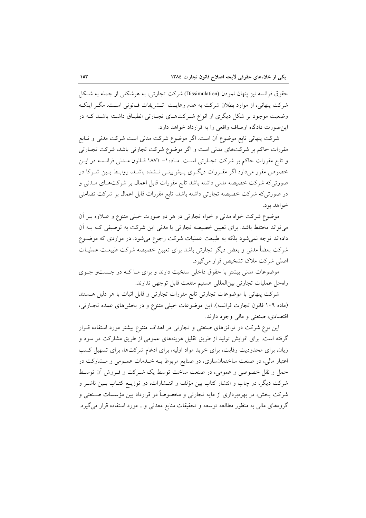حقوق فرانسه نیز پنهان نمودن (Dissimulation) شرکت تجارتی، به هرشکلی از جمله به شکل شرکت پنهانی، از موارد بطلان شرکت به عدم رعایـت تـشریفات قــانونی اسـت. مگــر اینکــه وضعیت موجود بر شکل دیگری از انواع شـرکتهـای تجـارتی انطبـاق داشـته باشـد کـه در این صورت دادگاه اوصاف واقعی را به قرارداد خواهد دارد.

شرکت پنهانی تابع موضوع اَن است. اگر موضوع شرکت مدنی است شرکت مدنی و تـابع مقررات حاکم بر شرکتهای مدنی است و اگر موضوع شرکت تجارتی باشد، شرکت تجـارتی و تابع مقررات حاکم بر شرکت تجـارتی اسـت. مـاده١- ١٨٧١ قـانون مـدنی فرانـسه در ايـن خصوص مقرر میدارد اگر مقـررات دیگـری پـیشبینـی نـشده باشـد، روابـط بـین شـرکا در صورتیکه شرکت خصیصه مدنی داشته باشد تابع مقررات قابل اعمال بر شرکتهـای مـدنی و در صورتیکه شرکت خصیصه تجارتی داشته باشد، تابع مقررات قابل اعمال بر شرکت تضامنی خواهد بود.

موضوع شرکت خواه مدنی و خواه تجارتی در هر دو صورت خیلی متنوع و عـلاوه بـر أن می تواند مختلط باشد. برای تعیین خصیصه تجارتی یا مدنی این شرکت به توصیفی کـه بـه آن دادهاند توجه نمی شود بلکه به طبیعت عملیات شرکت رجوع می شود. در مواردی که موضـوع شرکت بعضاً مدنی و بعض دیگر تجارتی باشد برای تعیین خصیصه شرکت طبیعـت عملیــات اصلی شرکت ملاک تشخیص قرار می گیرد.

موضوعات مدنی بیشتر با حقوق داخلی سنخیت دارند و برای مـا کـه در جـستو جـوی راهحل عمليات تجارتي بين المللي هستيم منفعت قابل توجهي ندارند.

شرکت پنهانی با موضوعات تجارتی تابع مقررات تجارتی و قابل اثبات با هر دلیل هستند (ماده ۱۰۹ قانون تجارت فرانسه). این موضوعات خیلی متنوع و در بخشهای عمده تجارتی، اقتصادي، صنعتي و مالي وجود دارند.

این نوع شرکت در توافقهای صنعتی و تجارتی در اهداف متنوع بیشتر مورد استفاده قــرار گرفته است. برای افزایش تولید از طریق تقلیل هزینههای عمومی از طریق مشارکت در سود و زیان، برای محدودیت رقابت، برای خرید مواد اولیه، برای ادغام شرکتها، برای تسهیل کسب اعتبار مالی، در صنعت ساختمانسازی، در صنایع مربوط بـه خـدمات عمـومی و مـشارکت در حمل و نقل خصوصی و عمومی، در صنعت ساخت توسط یک شـرکت و فـروش آن توسـط شرکت دیگر، در چاپ و انتشار کتاب بین مؤلف و انتـشارات، در توزیــع کتــاب بــین ناشــر و شرکت پخش، در بهرهبرداری از مایه تجارتی و مخصوصاً در قرارداد بین مؤسسات صـنعتی و گروههای مالی به منظور مطالعه توسعه و تحقیقات منابع معدنی و… مورد استفاده قرار می گیرد.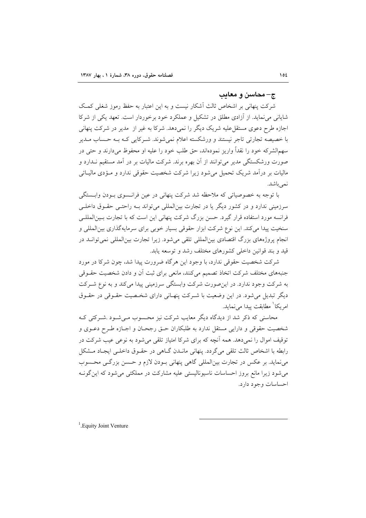#### د محاسن و معاتب $-\pi$

شرکت پنهانی بر اشخاص ثالث آشکار نیست و به این اعتبار به حفظ رموز شغلی کمک شایانی می نماید. از آزادی مطلق در تشکیل و عملکرد خود برخوردار است. تعهد یکی از شرکا اجازه طرح دعوی مستقل علیه شریک دیگر را نمیدهد. شرکا به غیر از ًمدیر در شرکت پنهانی با خصيصه تجارتي تاجر نيستند و ورشكسته اعلام نمي شوند. شـركايي كـه بـه حـساب مــدير سهم|لشرکه خود را نقداً واریز نموده|ند، حق طلب خود را علیه او محفوظ میدارند و حتی در صورت ورشکستگی مدیر می توانند از آن بهره برند. شرکت مالیات بر در آمد مستقیم نــدارد و مالیات بر در آمد شریک تحمیل می شود زیرا شرکت شخصیت حقوقی ندارد و مـؤدی مالیــاتی نمي باشد.

با توجه به خصوصیاتی که ملاحظه شد شرکت پنهانی در عین فرانـسوی بـودن وابـستگی سرزمینی ندارد و در کشور دیگر یا در تجارت بینالمللی میتواند بـه راحتـی حقـوق داخلـی فرانسه مورد استفاده قرار گیرد. حسن بزرگ شرکت پنهانی این است که با تجارت بـینالمللـی سنخیت پیدا می کند. این نوع شرکت ابزار حقوقی بسیار خوبی برای سرمایهگذاری بین|لمللی و انجام پروژههای بزرگ اقتصادی بین|لمللی تلقی می شود. زیرا تجارت بین|لمللی نمی توانــد در قید و بند قوانین داخلی کشورهای مختلف رشد و توسعه پابد.

شرکت شخصیت حقوقی ندارد، با وجود این هرگاه ضرورت پیدا شد، چون شرکا در مورد جنبههای مختلف شرکت اتخاذ تصمیم میکنند، مانعی برای ثبت آن و دادن شخصیت حقــوقی به شرکت وجود ندارد. در این صورت شرکت وابستگی سرزمینی پیدا میکند و به نوع شـرکت دیگر تبدیل می شود. در این وضعیت با شـرکت پنهـانی دارای شخـصیت حقـوقی در حقـوق امر یکا ٰ مطابقت پیدا می نماید.

محاسنی که ذکر شد از دیدگاه دیگر معایب شرکت نیز محسوب مـیشـود .شـرکتی کـه شخصيت حقوقي و دارايي مستقل ندارد به طلبكاران حـق رجحـان و اجــازه طـرح دعــوي و توقیف اموال را نمی دهد. همه آنچه که برای شرکا امتیاز تلقی می شود به نوعی عیب شرکت در رابطه با اشخاص ثالث تلقى مىگردد. پنهانى مانىدن گىاهى در حقـوق داخلـى ايجـاد مـشكل می نماید. بر عکس در تجارت بین المللی گاهی پنهانی بودن لازم و حسن بزرگـی محـسوب می شود زیرا مانع بروز احساسات ناسیونالیستی علیه مشارکت در مملکتی می شود که این گونـه احساسات وجود دارد.

<sup>1</sup>. Equity Joint Venture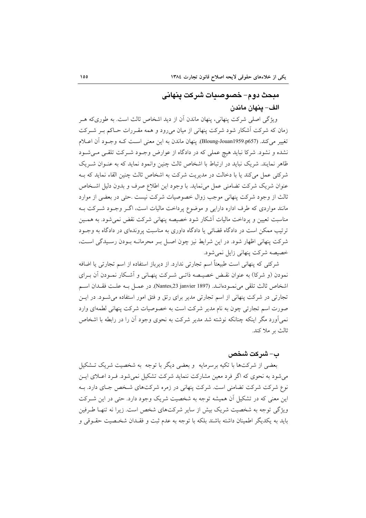## مبحث دوم– خصوصيات شركت ينهاني الف– ينهان ماندن

ویژگی اصلی شرکت پنهانی، پنهان ماندن آن از دید اشخاص ثالث است. به طوریکه هـر زمان که شرکت اَشکار شود شرکت پنهانی از میان میرود و همه مقـررات حـاکم بـر شــرکت تغيير مي كند. (Bloung-Jouan1959.p657). ينهان ماندن به اين معنى است كـه وجـود آن اعـلام نشده و نشود. شركا نبايد هيچ عملي كه در دادگاه از عوارض وجـود شـركت تلقـي مـي شـود ظاهر نمایند. شریک نباید در ارتباط با اشخاص ثالث چنین وانمود نماید که به عنـوان شـریک شرکتی عمل میکند یا با دخالت در مدیریت شرکت به اشخاص ثالث چنین القاء نماید که بـه عنوان شریک شرکت تضامنی عمل می نماید. با وجود این اطلاع صرف و بدون دلیل اشـخاص ثالث از وجود شرکت پنهانی موجب زوال خصوصیات شرکت نیست .حتی در بعضی از موارد مانند مواردی که طرف اداره دارایی و موضوع پرداخت مالیات است، اگـر وجـود شـرکت بـه مناسبت تعیین و یرداخت مالیات آشکار شود خصیصه پنهانی شرکت نقض نمی شود. به همـین ترتیب ممکن است در دادگاه قضائی یا دادگاه داوری به مناسبت پروندهای در دادگاه به وجـود شرکت پنهانی اظهار شود. در این شرایط نیز چون اصـل بـر محرمانــه بـودن رسـیدگی اسـت، خصيصه شركت ينهاني زايل نمي شود.

شرکتی که پنهانی است طبیعتاً اسم تجارتی ندارد. از دیرباز استفاده از اسم تجارتی یا اضافه نمودن (و شركا) به عنوان نقـض خصيـصه ذاتـي شـركت پنهـاني و اَشـكار نمـودن اَن بـراي اشخاص ثالث تلقى مى نمـودهانـد. (Nantes,23 janvier 1897). در عمـل بـه علـت فقـدان اسـم تجارتی در شرکت پنهانی از اسم تجارتی مدیر برای رتق و فتق امور استفاده می شـود. در ایــن صورت اسم تجارتی چون به نام مدیر شرکت است به خصوصیات شرکت پنهانی لطمهای وارد نمی اَورد مگر اینکه چنانکه نوشته شد مدیر شرکت به نحوی وجود اَن را در رابطه با اشخاص ثالث بر ملا كند.

#### ب– شر كت شخص

بعضی از شرکتها با تکیه برسرمایه و بعضی دیگر با توجه به شخصیت شریک تـشکیل می شود به نحوی که اگر فرد معین مشارکت ننماید شرکت تشکیل نمی شود. فـرد اعــلای ایــن نوع شرکت شرکت تضامنی است. شرکت پنهانی در زمره شرکتهای شـخص جـای دارد. بـه این معنی که در تشکیل آن همیشه توجه به شخصیت شریک وجود دارد. حتی در این شـرکت ویژگی توجه به شخصیت شریک بیش از سایر شرکتهای شخص است. زیرا نه تنهـا طـرفین بايد به يكديگر اطمينان داشته باشند بلكه با توجه به عدم ثبت و فقـدان شخـصيت حقـوقى و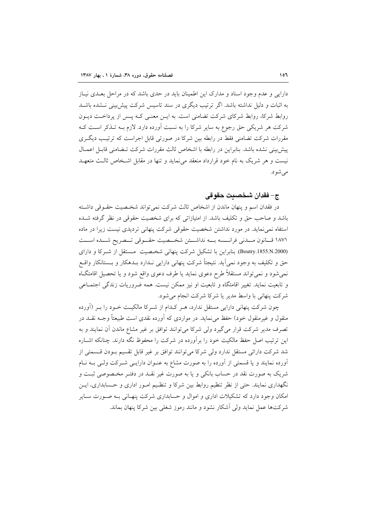دارایی و عدم وجود اسناد و مدارک این اطمینان باید در حدی باشد که در مراحل بعـدی نیـاز به اثبات و دلیل نداشته باشد. اگر ترتیب دیگری در سند تاسیس شرکت پیش بینی نــشده باشــد روابط شرکا، روابط شرکای شرکت تضامنی است. به ایـن معنـی کـه پـس از پرداخـت دیـون شرکت هر شریکی حق رجوع به سایر شرکا را به نسبت آورده دارد. لازم بــه تــذکر اســت کــه مقررات شرکت تضامنی فقط در رابطه بین شرکا در صورتی قابل اجراست که ترتیب دیگری ييش بيني نشده باشد. بنابراين در رابطه با اشخاص ثالث مقررات شركت تـضامني قابـل اعمـال نیست و هر شریک به نام خود قرارداد منعقد می نماید و تنها در مقابل اشـخاص ثالـث متعهـد می شو د.

### ج- فقدان شخصيت حقوقي

در فقدان اسم و پنهان ماندن از اشخاص ثالث شرکت نمی تواند شخـصیت حقـوقی داشـته باشد و صاحب حق و تکلیف باشد. از امتیازاتی که برای شخصیت حقوقی در نظر گرفته شـده استفاه نمی نماید. در مورد نداشتن شخصیت حقوقی شرکت پنهانی تردیدی نیست زیرا در ماده ١٨٧١ قـانون مــدنى فرانــسه بــه نداشــتن شخــصيت حقــوقى تــصريح شــده اســت (Boutry.1855.N.2000). بنابراین با تشکیل شرکت پنهانی شخصیت مستقل از شرکا و دارای حق و تکلیف به وجود نمی آید. نتیجتاً شرکت پنهانی دارایی نـدارد بـدهکار و بـستانکار واقـع نمی شود و نمی تواند مستقلاً طرح دعوی نماید یا طرف دعوی واقع شود و یا تحصیل اقامتگـاه و تابعیت نماید. تغییر اقامتگاه و تابعیت او نیز ممکن نیست. همه ضروریات زندگی اجتمـاعی شركت پنهاني با واسط مدير يا شركا شركت انجام مي شود.

چون شرکت پنهانی دارایی مستقل ندارد، هـر کـدام از شـرکا مالکیـت خـود را بـر (آورده منقول و غیرمنقول خود) حفظ می(نماید. در مواردی که آورده نقدی است طبیعتاً وجــه نقــد در تصرف مدیر شرکت قرار میگیرد ولی شرکا می توانند توافق بر غیر مشاع ماندن آن نمایند و به این ترتیب اصل حفظ مالکیت خود را برآورده در شرکت را محفوظ نگه دارند. چنانکه اشــاره شد شرکت دارائی مستقل ندارد ولی شرکا میتوانند توافق بر غیر قابل تقسیم بـودن قـسمتی از آورده نمایند و یا قسمتی از آورده را به صورت مشاع به عنـوان دارایــی شــرکت ولــی بــه نــام شریک به صورت نقد در حساب بانکی و یا به صورت غیر نقـد در دفتـر مخـصوصی ثبـت و نگهداری نمایند. حتی از نظر تنظیم روابط بین شرکا و تنظیم امـور اداری و حـسابداری، ایـن امکان وجود دارد که تشکیلات اداری و اموال و حسابداری شرکت پنهـانی بـه صـورت سـایر شرکتها عمل نماید ولی آشکار نشود و مانند رموز شغلی بین شرکا پنهان بماند.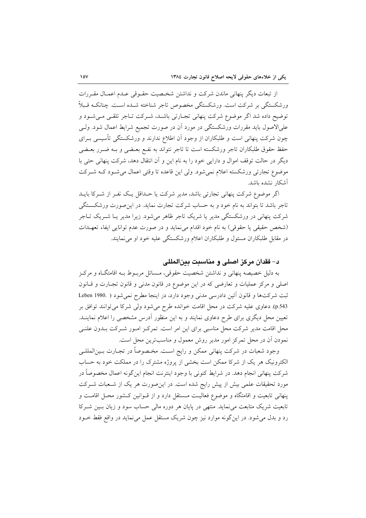از تبعات دیگر پنهانی ماندن شرکت و نداشتن شخصیت حقـوقی عـدم اعمـال مقـررات ورشکستگی بر شرکت است. ورشکستگی مخصوص تاجر شناخته شـده اسـت. چنانکـه قـبلاً توضیح داده شد اگر موضوع شرکت پنهانی تجارتی باشد، شـرکت تـاجر تلقـی مـیشـود و علیالاصول باید مقررات ورشکستگی در مورد آن در صورت تجمیع شرایط اعمال شود. ولـی چون شرکت پنهانی است و طلبکاران از وجود آن اطلاع ندارند و ورشکستگی تأسیسی بـرای حفظ حقوق طلبکاران تاجر ورشکسته است تا تاجر نتواند به نفـع بعـضي و بــه ضــرر بعــضي دیگر در حالت توقف اموال و دارایی خود را به نام این و آن انتقال دهد، شرکت پنهانی حتی با موضوع تجارتی ورشکسته اعلام نمی شود. ولی این قاعده تا وقتی اعمال می شـود کـه شـرکت آشكار نشده ىاشد.

اگر موضوع شرکت پنهانی تجارتی باشد، مدیر شرکت یا حـداقل یـک نفـر از شـرکا بایـد تاجر باشد تا بتواند به نام خود و به حساب شرکت تجارت نماید. در این صورت ورشکستگی شرکت پنهانی در ورشکستگی مدیر یا شریک تاجر ظاهر میشود. زیرا مدیر یـا شــریک تــاجر (شخص حقیقی یا حقوقی) به نام خود اقدام می نماید و در صورت عدم توانایی ایفاء تعهـدات در مقابل طلبکاران مسئول و طلبکاران اعلام ورشکستگی علیه خود او می نمایند.

## د– فقدان مركز اصلي و مناسبت بينالمللي

به دلیل خصیصه پنهانی و نداشتن شخصیت حقوقی، مـسائل مربـوط بـه اقامتگـاه و مركـز اصلي و مركز عمليات و تعارضي كه در اين موضوع در قانون مدنى و قانون تجـارت و قـانون ثبت شرکتها و قانون اَئین دادرسی مدنی وجود دارد، در اینجا مطرح نمیشود ( .Leben 1980 p.543). دعاوی علیه شرکت در محل اقامت خوانده طرح می شود ولی شرکا می توانند توافق بر تعیین محل دیگری برای طرح دعاوی نمایند و به این منظور آدرس مشخصی را اعلام نماینــد. محل اقامت مدیر شرکت محل مناسبی برای این امر است. تمرکـز امـور شـرکت بـدون علنـی نمودن آن در محل تمرکز امور مدیر روش معمول و مناسبترین محل است.

وجود شعبات در شركت پنهاني ممكن و رايج اسـت. مخـصوصاً در تجــارت بــينالمللــي الکترونیک هر یک از شرکا ممکن است بخشی از پروژه مشترک را در مملکت خود به حساب شركت پنهاني انجام دهد. در شرايط كنوني با وجود اينترنت انجام اين گونه اعمال مخصوصاً در مورد تحقیقات علمی بیش از پیش رایج شده است. در این صورت هر یک از شـعبات شـرکت پنهانی تابعیت و اقامتگاه و موضوع فعالیت مستقل دارد و از قــوانین کــشور محـل اقامــت و تابعیت شریک متابعت می نماید. منتهی در پایان هر دوره مالی حساب سود و زیان بسین شـرکا رد و بدل می شود. در این گونه موارد نیز چون شریک مستقل عمل می نماید در واقع فقط خــود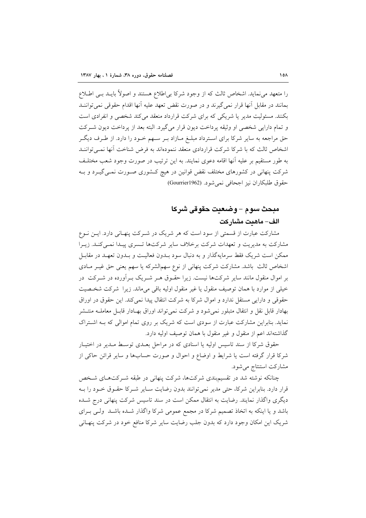را متعهد می نماید. اشخاص ثالث که از وجود شرکا بی|طلاع هستند و اصولاً بایــد بــی اطــلاع بمانند در مقابل أنها قرار نمي گيرند و در صورت نقض تعهد عليه آنها اقدام حقوقي نمي تواننــد بکنند. مسئولیت مدیر یا شریکی که برای شرکت قرارداد منعقد می کند شخصی و انفرادی است و تمام دارایی شخصی او وثیقه پرداخت دیون قرار میگیرد. البته بعد از پرداخت دیون شـرکت حق مراجعه به سایر شرکا برای استرداد مبلـغ مـازاد بـر سـهم خـود را دارد. از طـرف دیگـر اشخاص ثالث که با شرکا شرکت قراردادی منعقد ننمودهاند به فرض شناخت آنها نمـیتواننـد به طور مستقیم بر علیه آنها اقامه دعوی نمایند. به این ترتیب در صورت وجود شعب مختلف شرکت پنهانی در کشورهای مختلف نقض قوانین در هیچ کـشوری صـورت نمـی گیــرد و بــه حقوق طلبكاران نيز اجحافي نمي شود. (Gourrier1962)

## مبحث سوم – وضعيت حقوقي شركا الف– ماهىت مشاركت

مشارکت عبارت از قسمتی از سود است که هر شریک در شـرکت پنهـانی دارد. ایــن نــوع مشارکت به مدیریت و تعهدات شرکت برخلاف سایر شرکتها تـسری پیـدا نمـیکنـد. زیـرا ممکن است شریک فقط سرمایهگذار و به دنبال سود بــدون فعالیــت و بــدون تعهــد در مقابــل اشخاص ثالث باشد. مشارکت شرکت پنهانی از نوع سهمالشرکه یا سهم یعنی حق غیـر مـادی بر اموال منقول مانند سایر شرکتها نیست. زیرا حقـوق هـر شـریک بـرآورده در شـرکت ً در خیلی از موارد با همان توصیف منقول یا غیر منقول اولیه باقی میماند. زیرا شرکت شخصیت حقوقی و دارایی مستقل ندارد و اموال شرکا به شرکت انتقال پیدا نمی کند. این حقوق در اوراق بهادار قابل نقل و انتقال متبلور نمی شود و شرکت نمی تواند اوراق بهـادار قابـل معاملــه منتــشر نماید. بنابراین مشارکت عبارت از سودی است که شریک بر روی تمام اموالی که بـه اشـتراک گذاشتهاند اعم از منقول و غیر منقول با همان توصیف اولیه دارد.

حقوق شرکا از سند تاسیس اولیه یا اسنادی که در مراحل بعـدی توسـط مـدیر در اختیـار شركا قرار گرفته است يا شرايط و اوضاع و احوال و صورت حسابها و ساير قرائن حاكي از مشاركت استنتاج مي شود.

چنانکه نوشته شد در تقسیمبندی شرکتها، شرکت پنهانی در طبقه شـرکتهـای شـخص قرار دارد. بنابراین شرکا، حتی مدیر نمی توانند بدون رضایت سـایر شـرکا حقـوق خـود را بـه دیگری واگذار نمایند. رضایت به انتقال ممکن است در سند تاسیس شرکت پنهانی درج شـده باشد و یا اینکه به اتخاذ تصمیم شرکا در مجمع عمومی شرکا واگذار شـده باشـد ولـی بـرای شریک این امکان وجود دارد که بدون جلب رضایت سایر شرکا منافع خود در شرکت پنهـانی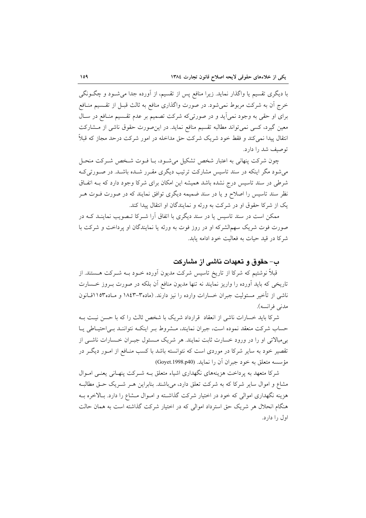با دیگری تقسیم یا واگذار نماید. زیرا منافع پس از تقسیم، از اَورده جدا می شــود و چگــونگی خرج اّن به شرکت مربوط نمی شود. در صورت واگذاری منافع به ثالث قبـل از تقـسیم منــافع برای او حقی به وجود نمیآید و در صورتیکه شرکت تصمیم بر عدم تقسیم منافع در سال معین گیرد، کسی نمی تواند مطالبه تقسیم منافع نماید. در این صورت حقوق ناشی از مشارکت انتقال پیدا نمی کند و فقط خود شریک شرکت حق مداخله در امور شرکت درحد مجاز که قبلاً توصيف شد را دارد.

چون شرکت پنهانی به اعتبار شخص تشکیل میشـود، بـا فـوت شـخص شـرکت منحـل می شود مگر اینکه در سند تاسیس مشارکت ترتیب دیگری مقـرر شـده باشـد. در صـورتی کـه شرطی در سند تاسیس درج نشده باشد همیشه این امکان برای شرکا وجود دارد که بــه اتفــاق نظر سند تاسیس را اصلاح و یا در سند ضمیمه دیگری توافق نمایند که در صورت فــوت هــر یک از شرکا حقوق او در شرکت به ورثه و نمایندگان او انتقال پیدا کند.

ممکن است در سند تاسیس یا در سند دیگری با اتفاق آرا شـرکا تـصویب نماینـد کــه در صورت فوت شریک سهمالشرکه او در روز فوت به ورثه یا نمایندگان او پرداخت و شرکت با شرکا در قید حیات به فعالیت خود ادامه یابد.

## ب– حقوق و تعهدات ناشبی از مشارکت

قبلاً نوشتیم که شرکا از تاریخ تاسیس شرکت مدیون آورده خـود بــه شــرکت هــستند. از تاریخی که باید آورده را واریز نمایند نه تنها مدیون منافع آن بلکه در صورت بـروز خـسارت ناشی از تأخیر مسئولیت جبران خسارات وارده را نیز دارند. (ماده۳–۱۸٤۳ و مـاده۱۱۵۳قــانون مدني فرانسه).

شرکا باید خسارات ناشی از انعقاد قرارداد شریک با شخص ثالث را که با حسن نیـت بـه حساب شرکت منعقد نموده است، جبران نمایند، مـشروط بـر اینکـه نتواننـد بـی|حتیـاطی پـا بے مبالاتی او را در ورود خسارت ثابت نمایند. هر شریک مسئول جیـران خــسارات ناشــی از تقصیر خود به سایر شرکا در موردی است که نتوانسته باشد با کسب منـافع از امـور دیگـر در مؤسسه متعلق به خود جبران آن را نمايد. (Goyet.1998.p40)

شرکا متعهد به برداخت هزینههای نگهداری اشیاء متعلق بـه شـرکت پنهـانی یعنـی امـوال مشاع و اموال سایر شرکا که به شرکت تعلق دارد، میباشند. بنابراین هـر شـریک حـق مطالبـه هزینه نگهداری اموالی که خود در اختیار شرکت گذاشته و امـوال مـشاع را دارد. بـالاخره بـه هنگام انحلال هر شریک حق استرداد اموالی که در اختیار شرکت گذاشته است به همان حالت اول را دار د.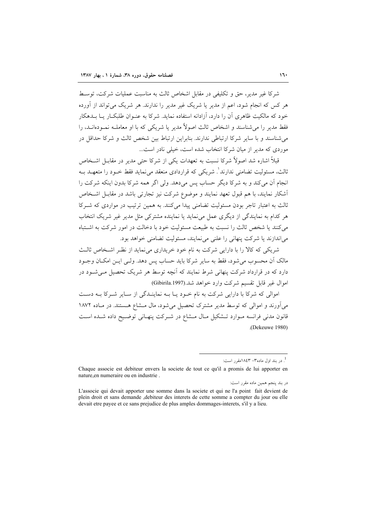شركا غير مدير، حق و تكليفي در مقابل اشخاص ثالث به مناسبت عمليات شركت، توسـط هر کس که انجام شود، اعمراز مدیر یا شریک غیر مدیر را ندارند. هر شریک مرتواند از آورده خود که مالکیت ظاهری آن را دارد، آزادانه استفاده نماید. شرکا به عنـوان طلبکــار پــا بــدهکار فقط مدير را مي شناسند و اشخاص ثالث اصولاً مدير يا شريكي كه با او معاملـه نمـودهانــد، را می شناسند و با سایر شرکا ارتباطی ندارند. بنابراین ارتباط بین شخص ثالث و شرکا حداقل در موردی که مدیر از میان شرکا انتخاب شده است، خیلی نادر است...

قبلاً اشاره شد اصولاً شرکا نسبت به تعهدات یکی از شرکا حتی مدیر در مقابیل اشتخاص ثالث، مسئولیت تضامنی ندارند ْ. شریکی که قراردادی منعقد می نماید فقط خــود را متعهــد بــه انجام آن می کند و به شرکا دیگر حساب پس می دهد. ولی اگر همه شرکا بدون اینکه شرکت را أشكار نمايند، با هم قبول تعهد نمايند و موضوع شركت نيز تجارتي باشد در مقابــل اشــخاص ثالث به اعتبار تاجر بودن مسئولیت تضامنی پیدا میکنند. به همین ترتیب در مواردی که شـرکا هر کدام به نمایندگی از دیگری عمل می نماید یا نماینده مشترکی مثل مدیر غیر شریک انتخاب می کنند یا شخص ثالث را نسبت به طبیعت مسئولیت خود با دخالت در امور شرکت به اشتباه میاندازند یا شرکت پنهانی را علنی می نمایند، مسئولیت تضامنی خواهد بود.

شریکی که کالا را با دارایی شرکت به نام خود خریداری می نماید از نظر اشـخاص ثالـث مالک اَن محسوب می شود، فقط به سایر شرکا باید حساب پس دهد. ولـی ایــن امکــان وجــود دارد که در قرارداد شرکت پنهانی شرط نمایند که آنچه توسط هر شریک تحصیل مے شـود در اموال غير قابل تقسيم شركت وارد خواهد شد.(Gibirila.1997)

اموالي كه شركا با دارايي شركت به نام خـود يـا بـه نماينـدگي از سـاير شـركا بـه دسـت میآورند و اموالی که توسط مدیر مشترک تحصیل میشود، مال مـشاع هـستند. در مـاده ۱۸۷۲ قانون مدنی فرانسه مـوارد تـشکيل مـال مـشاع در شـرکت پنهـانی توضـيح داده شـده اسـت (Dekeuwe 1980).

<sup>.&</sup>lt;br>در بند اول ماده۳- ۱۸٤۳مقرر است:

Chaque associe est debiteur envers la societe de tout ce qu'il a promis de lui apporter en nature, en numeraire ou en industrie.

در بند پنجم همین ماده مقرر است:

L'associe qui devait apporter une somme dans la societe et qui ne l'a point fait devient de plein droit et sans demande , debiteur des interets de cette somme a compter du jour ou elle devait etre payee et ce sans prejudice de plus amples dommages-interets, s'il y a lieu.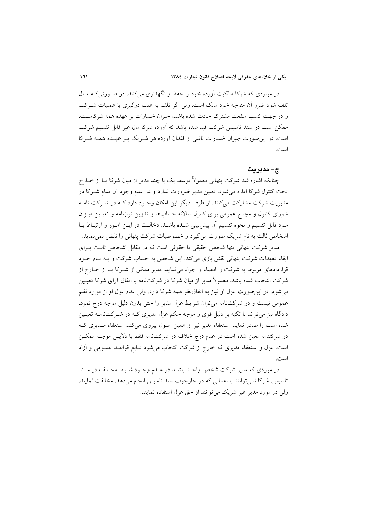در مواردی که شرکا مالکیت آورده خود را حفظ و نگهداری می کنند، در صـورتی کـه مـال تلف شود ضرر آن متوجه خود مالک است. ولی اگر تلف به علت درگیری با عملیات شـرکت و در جهت کسب منفعت مشترک حادث شده باشد، جبران خسارات بر عهده همه شرکاست. ممکن است در سند تاسیس شرکت قید شده باشد که آورده شرکا مال غیر قابل تقسیم شرکت است، در این صورت جبران خسارات ناشی از فقدان آورده هر شـریک بـر عهـده همـه شـرکا است.

#### ج- مديريت

چنانکه اشاره شد شرکت پنهانی معمولاً توسط یک یا چند مدیر از میان شرکا یـا از خــارج تحت کنترل شرکا اداره می شود. تعیین مدیر ضرورت ندارد و در عدم وجود آن تمام شــرکا در مدیریت شرکت مشارکت می کنند. از طرف دیگر این امکان وجـود دارد کــه در شــرکت نامــه شورای کنترل و مجمع عمومی برای کنترل سالانه حسابها و تدوین ترازنامه و تعیین میـزان سود قابل تقسیم و نحوه تقسیم اَن پیش بینی شـده باشـد. دخالـت در ایــن امــور و ارتبــاط بــا اشخاص ثالث به نام شریک صورت میگیرد و خصوصیات شرکت پنهانی را نقض نمی نماید.

مدیر شرکت پنهانی تنها شخص حقیقی یا حقوقی است که در مقابل اشخاص ثالث بـرای ایفاء تعهدات شرکت پنهانی نقش بازی میکند. این شخص به حساب شرکت و بـه نـام خـود قراردادهای مربوط به شرکت را امضاء و اجراء می نماید. مدیر ممکن از شـرکا یـا از خــارج از شرکت انتخاب شده باشد. معمولاً مدیر از میان شرکا در شرکتiامه با اتفاق آرای شرکا تعیـین می شود. در این صورت عزل او نیاز به اتفاق نظر همه شرکا دارد. ولی عدم عزل او از موارد نظم عمومي نيست و در شركتنامه مي توان شرايط عزل مدير را حتى بدون دليل موجه درج نمود. دادگاه نیز میتواند با تکیه بر دلیل قوی و موجه حکم عزل مدیری کـه در شــرکتiامــه تعیــین شده است را صادر نماید. استعفاء مدیر نیز از همین اصول پیروی میکند. استعفاء مـدیری کـه در شرکتنامه معین شده است در عدم درج خلاف در شرکت $نامه فقط با دلایـل موجـه ممکــن$ است. عزل و استعفاء مدیری که خارج از شرکت انتخاب می شود تـابع قواعـد عمـومی و آزاد است.

در موردی که مدیر شرکت شخص واحـد باشـد در عـدم وجـود شـرط مخـالف در سـند تاسيس، شركا نمي توانند با اعمالي كه در چارچوب سند تاسيس انجام مي دهد، مخالفت نمايند. ولی در مورد مدیر غیر شریک می توانند از حق عزل استفاده نمایند.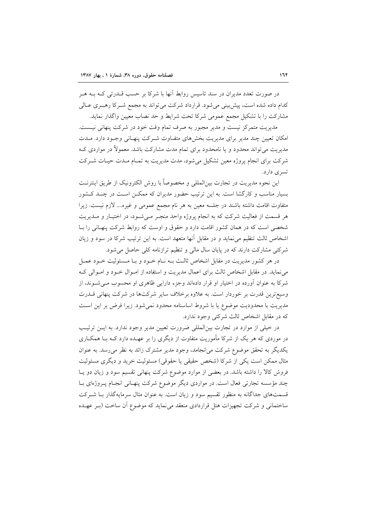در صورت تعدد مدیران در سند تاسیس روابط آنها با شرکا بر حسب قــدرتی کــه بــه هــر کدام داده شده است، پیش بینی می شود. قرارداد شرکت می تواند به مجمع شـر کا رهبـری عــالی مشارکت را با تشکیل مجمع عمومی شرکا تحت شرایط و حد نصاب معیین واگذار نماید.

مدیریت متمرکز نیست و مدیر مجبور به صرف تمام وقت خود در شرکت پنهانی نیست. امکان تعیین چند مدیر برای مدیریت بخشهای متفاوت شـرکت پنهـانی وجـود دارد. مـدت مدیریت می تواند محدود و یا نامحدود برای تمام مدت مشارکت باشد. معمولاً در مواردی ک شرکت برای انجام پروژه معین تشکیل میشود، مدت مدیریت به تمـام مـدت حیـات شـرکت تسرى دارد.

این نحوه مدیریت در تجارت بین|لمللی و مخصوصاً با روش الکترونیک از طریق اینترنـت بسیار مناسب و کارگشا است. به این ترتیب حضور مدیران که ممکــن اســت در چنــد کــشور متفاوت اقامت داشته باشند در جلسه معین به هر نام مجمع عمومی و غیره.... لازم نیست. زیرا هر قسمت از فعالیت شرکت که به انجام پروژه واحد منجـر مـیشـود، در اختیـار و مـدیریت شخصی است که در همان کشور اقامت دارد و حقوق و اوست که روابط شرکت پنهـانی را بـا اشخاص ثالث تنظیم می نماید و در مقابل آنها متعهد است. به این ترتیب شرکا در سود و زیان شرکتی مشارکت دارند که در پایان سال مالی و تنظیم ترازنامه کلی حاصل می شود.

در هر کشور مدیریت در مقابل اشخاص ثالث بـه نـام خـود و بـا مـسئولیت خـود عمـل می نماید. در مقابل اشخاص ثالث برای اعمال مدیریت و استفاده از امـوال خـود و امـوالی کـه شرکا به عنوان آورده در اختیار او قرار دادهاند وجزء دارایی ظاهری او محسوب مـی شــوند، از وسیع ترین قدرت بر خوردار است. به علاوه برخلاف سایر شرکتها در شرکت پنهانی قــدرت مدیریت با محدودیت موضوع یا با شروط اساسنامه محدود نمیشود. زیرا فرض بر این است كه در مقابل اشخاص ثالث شركتي وجود ندارد.

در خیلی از موارد در تجارت بینالمللی ضرورت تعیین مدیر وجود ندارد. به ایـن ترتیب در موردی که هر یک از شرکا مأموریت متفاوت از دیگری را بر عهـده دارد کـه بــا همکــاری یکدیگر به تحقق موضوع شرکت می انجامد، وجود مدیر مشترک زائد به نظر می رسد. به عنوان مثال ممکن است یکی از شرکا (شخص حقیقی یا حقوقی) مسئولیت خرید و دیگری مسئولیت فروش کالا را داشته باشد. در بعضی از موارد موضوع شرکت پنهانی تقسیم سود و زیان دو یـا چند مؤسسه تجارتی فعال است. در مواردی دیگر موضوع شرکت پنهـانی انجـام پـروژهای بـا قسمتهای جداگانه به منظور تقسیم سود و زیان است. به عنوان مثال سرمایهگذار بـا شــرکت ساختمانی و شرکت تجهیزات هتل قراردادی منعقد می نماید که موضوع أن ساخت (بـر عهــده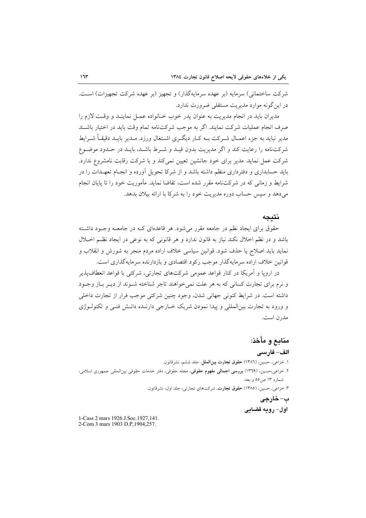شرکت ساختمانی) سرمایه (بر عهده سرمایهگذار) و تجهیز (بر عهده شرکت تجهیزات) است. در این گونه موارد مدیریت مستقلی ضرورت ندارد.

مديران بايد در انجام مديريت به عنوان يدر خوب خـانواده عمـل نماينـد و وقـت لازم را صرف انجام عملیات شرکت نمایند. اگر به موجب شرکتنامه تمام وقت باید در اختیار باشـند مدیر نباید به جزء اعمـال شـرکت بــه کــار دیگــری اشــتغال ورزد. مــدیر بایــد دقیقــاً شــرایط شرکتنامه را رعایت کند و اگر مدیریت بدون قیـد و شـرط باشـد، بایـد در حـدود موضـوع شرکت عمل نماید. مدیر برای خود جانشین تعیین نمی کند و با شرکت رقابت نامشروع ندارد. باید حسابداری و دفترداری منظم داشته باشد و از شرکا تحویل آورده و انجـام تعهـدات را در شرایط و زمانی که در شرکتنامه مقرر شده است، تقاضا نماید. مأموریت خود را تا پایان انجام می دهد و سپس حساب دوره مدیریت خود را به شرکا با ارائه بیلان بدهد.

#### نتىحە

حقوق برای ایجاد نظم در جامعه مقرر می شود. هر قاعدهای کـه در جامعـه وجـود داشـته باشد و در نظم اخلال نکند نیاز به قانون ندارد و هر قانونی که به نوعی در ایجاد نظـم اخــلال نمايد بايد اصلاح يا حذف شود. قوانين سياسي خلاف اراده مردم منجر به شورش و انقلاب و قوانین خلاف اراده سرمایهگذار موجب رکود اقتصادی و بازدارنده سرمایهگذاری است.

در اروپا و آمریکا در کنار قواعد عمومی شرکتهای تجارتی، شرکتی با قواعد انعطاف پذیر و نرم برای تجارت کسانی که به هر علت نمی خواهند تاجر شناخته شـوند از دیـر بـاز وجـود داشته است. در شرايط كنوني جهاني شدن، وجود چنين شركتي موجب فرار از تجارت داخلي و ورود به تجارت بین|لمللی و پیدا نمودن شریک خــارجی دارنــده دانــش فنــی و تکنولــوژی مدرن است.

منابع و مأخذ: الف– فارسى ١. خزاعي، حسين، (١٣٨٦) حقوق تجارت بين الملل. جلد ششم، نشرقانون. ٢. خزاعي،حسين، (١٣٦٩) بررسي اجمالي مفهوم حقوقي، مجله حقوقي، دفتر خدمات حقوقي بينالمللي جمهوري اسلامي، شماره ۱۳ ص۵۵ و بعد. ۳. خزاعی، حسین، (۱۳۸۵) حقوق تجارت، شرکتهای تجارتی، جلد اول، نشرقانون. ب- خارجي اول- رويه قضايي

1-Cass 2 mars 1926.J.Soc.1927,141. 2-Com 3 mars 1903 D.P.1904.257.